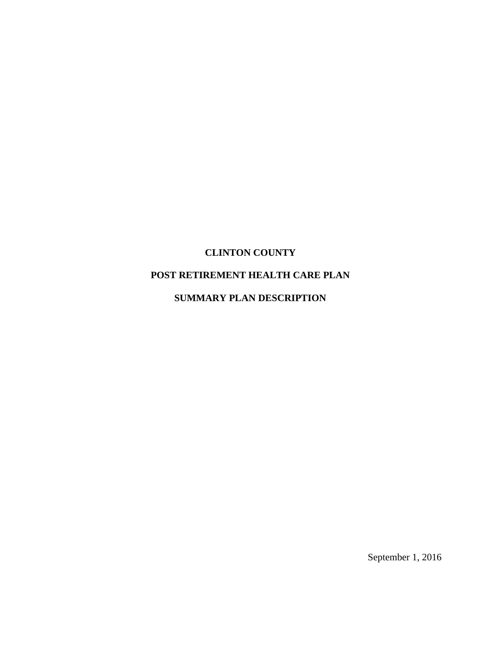# **CLINTON COUNTY**

# **POST RETIREMENT HEALTH CARE PLAN**

# **SUMMARY PLAN DESCRIPTION**

September 1, 2016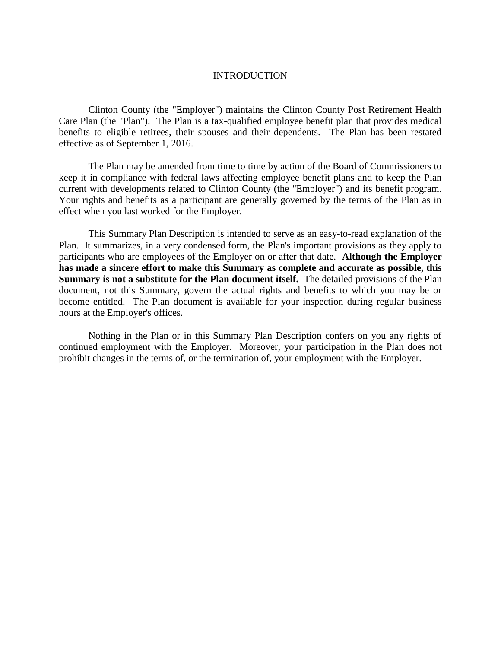#### INTRODUCTION

Clinton County (the "Employer") maintains the Clinton County Post Retirement Health Care Plan (the "Plan"). The Plan is a tax-qualified employee benefit plan that provides medical benefits to eligible retirees, their spouses and their dependents. The Plan has been restated effective as of September 1, 2016.

The Plan may be amended from time to time by action of the Board of Commissioners to keep it in compliance with federal laws affecting employee benefit plans and to keep the Plan current with developments related to Clinton County (the "Employer") and its benefit program. Your rights and benefits as a participant are generally governed by the terms of the Plan as in effect when you last worked for the Employer.

This Summary Plan Description is intended to serve as an easy-to-read explanation of the Plan. It summarizes, in a very condensed form, the Plan's important provisions as they apply to participants who are employees of the Employer on or after that date. **Although the Employer has made a sincere effort to make this Summary as complete and accurate as possible, this Summary is not a substitute for the Plan document itself.** The detailed provisions of the Plan document, not this Summary, govern the actual rights and benefits to which you may be or become entitled. The Plan document is available for your inspection during regular business hours at the Employer's offices.

Nothing in the Plan or in this Summary Plan Description confers on you any rights of continued employment with the Employer. Moreover, your participation in the Plan does not prohibit changes in the terms of, or the termination of, your employment with the Employer.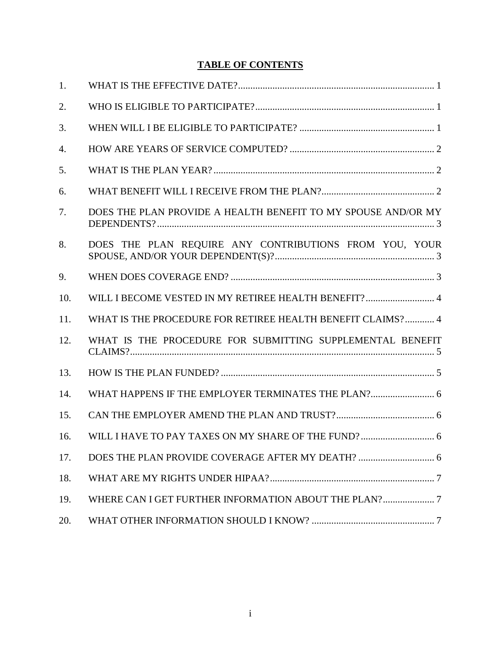# **TABLE OF CONTENTS**

| 1.  |                                                               |
|-----|---------------------------------------------------------------|
| 2.  |                                                               |
| 3.  |                                                               |
| 4.  |                                                               |
| 5.  |                                                               |
| 6.  |                                                               |
| 7.  | DOES THE PLAN PROVIDE A HEALTH BENEFIT TO MY SPOUSE AND/OR MY |
| 8.  | DOES THE PLAN REQUIRE ANY CONTRIBUTIONS FROM YOU, YOUR        |
| 9.  |                                                               |
| 10. |                                                               |
| 11. | WHAT IS THE PROCEDURE FOR RETIREE HEALTH BENEFIT CLAIMS? 4    |
| 12. | WHAT IS THE PROCEDURE FOR SUBMITTING SUPPLEMENTAL BENEFIT     |
| 13. |                                                               |
| 14. |                                                               |
| 15. |                                                               |
| 16. |                                                               |
| 17. |                                                               |
| 18. |                                                               |
| 19. | WHERE CAN I GET FURTHER INFORMATION ABOUT THE PLAN?7          |
| 20. |                                                               |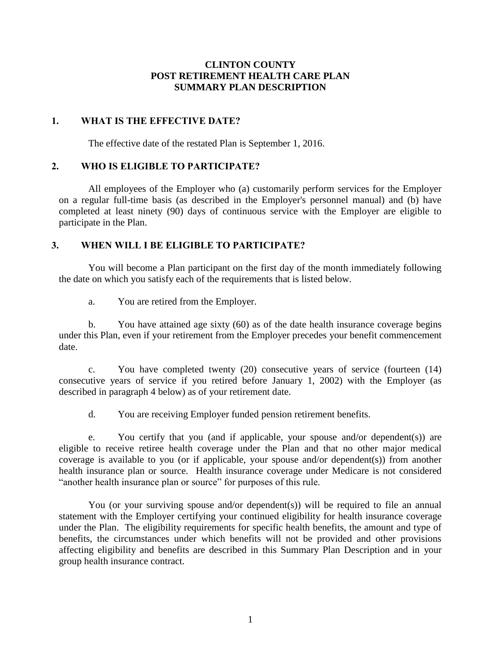# **CLINTON COUNTY POST RETIREMENT HEALTH CARE PLAN SUMMARY PLAN DESCRIPTION**

# <span id="page-3-0"></span>**1. WHAT IS THE EFFECTIVE DATE?**

The effective date of the restated Plan is September 1, 2016.

# <span id="page-3-1"></span>**2. WHO IS ELIGIBLE TO PARTICIPATE?**

All employees of the Employer who (a) customarily perform services for the Employer on a regular full-time basis (as described in the Employer's personnel manual) and (b) have completed at least ninety (90) days of continuous service with the Employer are eligible to participate in the Plan.

# <span id="page-3-2"></span>**3. WHEN WILL I BE ELIGIBLE TO PARTICIPATE?**

You will become a Plan participant on the first day of the month immediately following the date on which you satisfy each of the requirements that is listed below.

a. You are retired from the Employer.

b. You have attained age sixty (60) as of the date health insurance coverage begins under this Plan, even if your retirement from the Employer precedes your benefit commencement date.

c. You have completed twenty (20) consecutive years of service (fourteen (14) consecutive years of service if you retired before January 1, 2002) with the Employer (as described in paragraph 4 below) as of your retirement date.

d. You are receiving Employer funded pension retirement benefits.

e. You certify that you (and if applicable, your spouse and/or dependent(s)) are eligible to receive retiree health coverage under the Plan and that no other major medical coverage is available to you (or if applicable, your spouse and/or dependent(s)) from another health insurance plan or source. Health insurance coverage under Medicare is not considered "another health insurance plan or source" for purposes of this rule.

You (or your surviving spouse and/or dependent(s)) will be required to file an annual statement with the Employer certifying your continued eligibility for health insurance coverage under the Plan. The eligibility requirements for specific health benefits, the amount and type of benefits, the circumstances under which benefits will not be provided and other provisions affecting eligibility and benefits are described in this Summary Plan Description and in your group health insurance contract.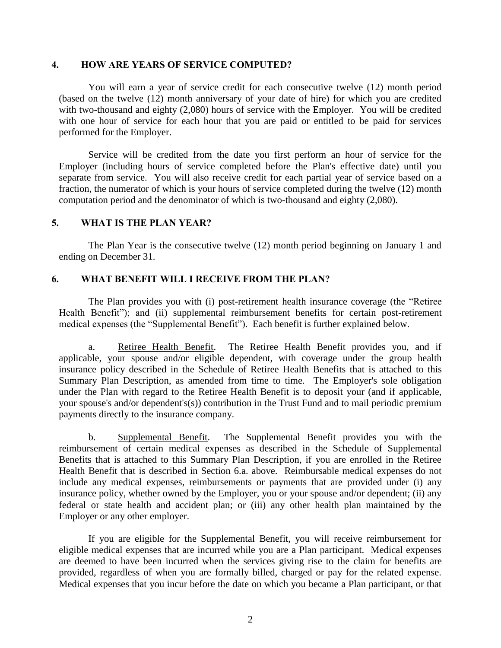### <span id="page-4-0"></span>**4. HOW ARE YEARS OF SERVICE COMPUTED?**

You will earn a year of service credit for each consecutive twelve (12) month period (based on the twelve (12) month anniversary of your date of hire) for which you are credited with two-thousand and eighty (2,080) hours of service with the Employer. You will be credited with one hour of service for each hour that you are paid or entitled to be paid for services performed for the Employer.

Service will be credited from the date you first perform an hour of service for the Employer (including hours of service completed before the Plan's effective date) until you separate from service. You will also receive credit for each partial year of service based on a fraction, the numerator of which is your hours of service completed during the twelve (12) month computation period and the denominator of which is two-thousand and eighty (2,080).

## <span id="page-4-1"></span>**5. WHAT IS THE PLAN YEAR?**

The Plan Year is the consecutive twelve (12) month period beginning on January 1 and ending on December 31.

## <span id="page-4-2"></span>**6. WHAT BENEFIT WILL I RECEIVE FROM THE PLAN?**

The Plan provides you with (i) post-retirement health insurance coverage (the "Retiree Health Benefit"); and (ii) supplemental reimbursement benefits for certain post-retirement medical expenses (the "Supplemental Benefit"). Each benefit is further explained below.

a. Retiree Health Benefit. The Retiree Health Benefit provides you, and if applicable, your spouse and/or eligible dependent, with coverage under the group health insurance policy described in the Schedule of Retiree Health Benefits that is attached to this Summary Plan Description, as amended from time to time. The Employer's sole obligation under the Plan with regard to the Retiree Health Benefit is to deposit your (and if applicable, your spouse's and/or dependent's(s)) contribution in the Trust Fund and to mail periodic premium payments directly to the insurance company.

b. Supplemental Benefit. The Supplemental Benefit provides you with the reimbursement of certain medical expenses as described in the Schedule of Supplemental Benefits that is attached to this Summary Plan Description, if you are enrolled in the Retiree Health Benefit that is described in Section 6.a. above. Reimbursable medical expenses do not include any medical expenses, reimbursements or payments that are provided under (i) any insurance policy, whether owned by the Employer, you or your spouse and/or dependent; (ii) any federal or state health and accident plan; or (iii) any other health plan maintained by the Employer or any other employer.

If you are eligible for the Supplemental Benefit, you will receive reimbursement for eligible medical expenses that are incurred while you are a Plan participant. Medical expenses are deemed to have been incurred when the services giving rise to the claim for benefits are provided, regardless of when you are formally billed, charged or pay for the related expense. Medical expenses that you incur before the date on which you became a Plan participant, or that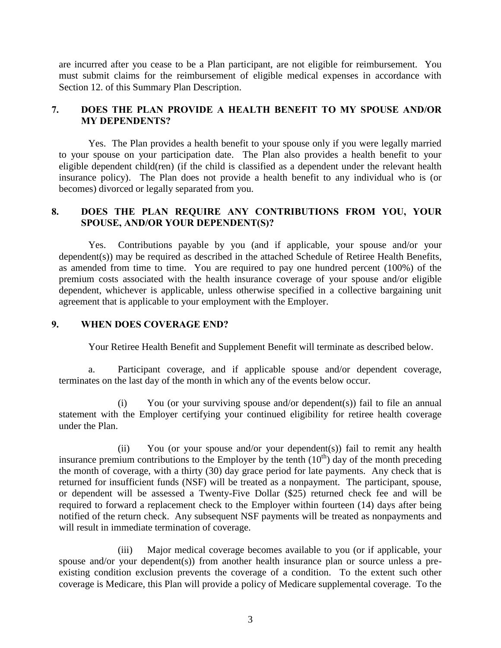are incurred after you cease to be a Plan participant, are not eligible for reimbursement. You must submit claims for the reimbursement of eligible medical expenses in accordance with Section 12. of this Summary Plan Description.

# <span id="page-5-0"></span>**7. DOES THE PLAN PROVIDE A HEALTH BENEFIT TO MY SPOUSE AND/OR MY DEPENDENTS?**

Yes. The Plan provides a health benefit to your spouse only if you were legally married to your spouse on your participation date. The Plan also provides a health benefit to your eligible dependent child(ren) (if the child is classified as a dependent under the relevant health insurance policy). The Plan does not provide a health benefit to any individual who is (or becomes) divorced or legally separated from you.

# <span id="page-5-1"></span>**8. DOES THE PLAN REQUIRE ANY CONTRIBUTIONS FROM YOU, YOUR SPOUSE, AND/OR YOUR DEPENDENT(S)?**

Yes. Contributions payable by you (and if applicable, your spouse and/or your dependent(s)) may be required as described in the attached Schedule of Retiree Health Benefits, as amended from time to time. You are required to pay one hundred percent (100%) of the premium costs associated with the health insurance coverage of your spouse and/or eligible dependent, whichever is applicable, unless otherwise specified in a collective bargaining unit agreement that is applicable to your employment with the Employer.

# <span id="page-5-2"></span>**9. WHEN DOES COVERAGE END?**

Your Retiree Health Benefit and Supplement Benefit will terminate as described below.

a. Participant coverage, and if applicable spouse and/or dependent coverage, terminates on the last day of the month in which any of the events below occur.

(i) You (or your surviving spouse and/or dependent(s)) fail to file an annual statement with the Employer certifying your continued eligibility for retiree health coverage under the Plan.

(ii) You (or your spouse and/or your dependent(s)) fail to remit any health insurance premium contributions to the Employer by the tenth  $(10<sup>th</sup>)$  day of the month preceding the month of coverage, with a thirty (30) day grace period for late payments. Any check that is returned for insufficient funds (NSF) will be treated as a nonpayment. The participant, spouse, or dependent will be assessed a Twenty-Five Dollar (\$25) returned check fee and will be required to forward a replacement check to the Employer within fourteen (14) days after being notified of the return check. Any subsequent NSF payments will be treated as nonpayments and will result in immediate termination of coverage.

(iii) Major medical coverage becomes available to you (or if applicable, your spouse and/or your dependent(s)) from another health insurance plan or source unless a preexisting condition exclusion prevents the coverage of a condition. To the extent such other coverage is Medicare, this Plan will provide a policy of Medicare supplemental coverage. To the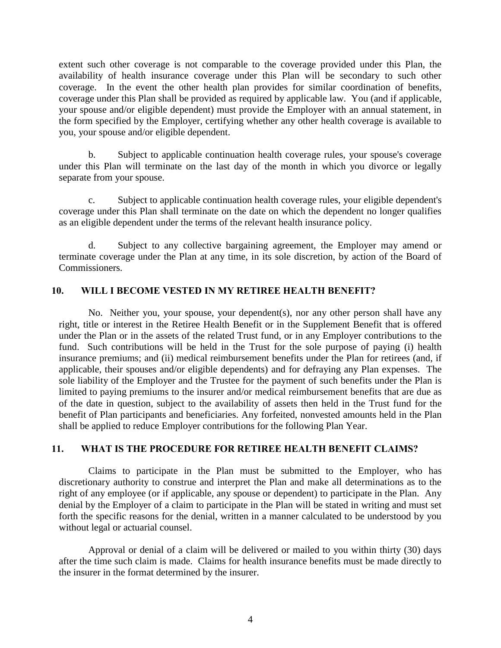extent such other coverage is not comparable to the coverage provided under this Plan, the availability of health insurance coverage under this Plan will be secondary to such other coverage. In the event the other health plan provides for similar coordination of benefits, coverage under this Plan shall be provided as required by applicable law. You (and if applicable, your spouse and/or eligible dependent) must provide the Employer with an annual statement, in the form specified by the Employer, certifying whether any other health coverage is available to you, your spouse and/or eligible dependent.

b. Subject to applicable continuation health coverage rules, your spouse's coverage under this Plan will terminate on the last day of the month in which you divorce or legally separate from your spouse.

c. Subject to applicable continuation health coverage rules, your eligible dependent's coverage under this Plan shall terminate on the date on which the dependent no longer qualifies as an eligible dependent under the terms of the relevant health insurance policy.

d. Subject to any collective bargaining agreement, the Employer may amend or terminate coverage under the Plan at any time, in its sole discretion, by action of the Board of Commissioners.

# <span id="page-6-0"></span>**10. WILL I BECOME VESTED IN MY RETIREE HEALTH BENEFIT?**

No. Neither you, your spouse, your dependent(s), nor any other person shall have any right, title or interest in the Retiree Health Benefit or in the Supplement Benefit that is offered under the Plan or in the assets of the related Trust fund, or in any Employer contributions to the fund. Such contributions will be held in the Trust for the sole purpose of paying (i) health insurance premiums; and (ii) medical reimbursement benefits under the Plan for retirees (and, if applicable, their spouses and/or eligible dependents) and for defraying any Plan expenses. The sole liability of the Employer and the Trustee for the payment of such benefits under the Plan is limited to paying premiums to the insurer and/or medical reimbursement benefits that are due as of the date in question, subject to the availability of assets then held in the Trust fund for the benefit of Plan participants and beneficiaries. Any forfeited, nonvested amounts held in the Plan shall be applied to reduce Employer contributions for the following Plan Year.

# <span id="page-6-1"></span>**11. WHAT IS THE PROCEDURE FOR RETIREE HEALTH BENEFIT CLAIMS?**

Claims to participate in the Plan must be submitted to the Employer, who has discretionary authority to construe and interpret the Plan and make all determinations as to the right of any employee (or if applicable, any spouse or dependent) to participate in the Plan. Any denial by the Employer of a claim to participate in the Plan will be stated in writing and must set forth the specific reasons for the denial, written in a manner calculated to be understood by you without legal or actuarial counsel.

Approval or denial of a claim will be delivered or mailed to you within thirty (30) days after the time such claim is made. Claims for health insurance benefits must be made directly to the insurer in the format determined by the insurer.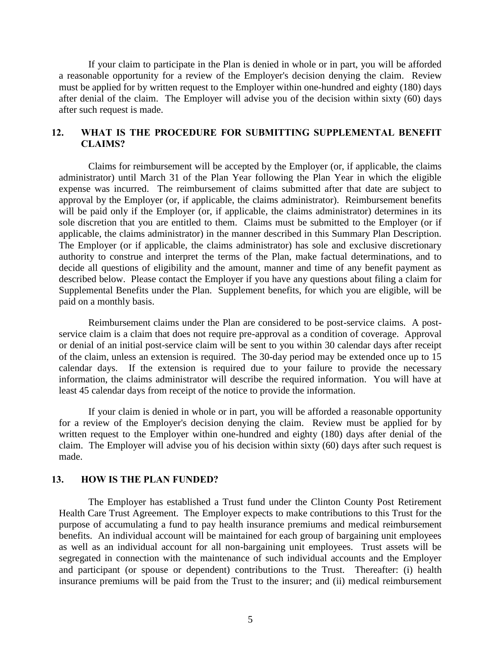If your claim to participate in the Plan is denied in whole or in part, you will be afforded a reasonable opportunity for a review of the Employer's decision denying the claim. Review must be applied for by written request to the Employer within one-hundred and eighty (180) days after denial of the claim. The Employer will advise you of the decision within sixty (60) days after such request is made.

# <span id="page-7-0"></span>**12. WHAT IS THE PROCEDURE FOR SUBMITTING SUPPLEMENTAL BENEFIT CLAIMS?**

Claims for reimbursement will be accepted by the Employer (or, if applicable, the claims administrator) until March 31 of the Plan Year following the Plan Year in which the eligible expense was incurred. The reimbursement of claims submitted after that date are subject to approval by the Employer (or, if applicable, the claims administrator). Reimbursement benefits will be paid only if the Employer (or, if applicable, the claims administrator) determines in its sole discretion that you are entitled to them. Claims must be submitted to the Employer (or if applicable, the claims administrator) in the manner described in this Summary Plan Description. The Employer (or if applicable, the claims administrator) has sole and exclusive discretionary authority to construe and interpret the terms of the Plan, make factual determinations, and to decide all questions of eligibility and the amount, manner and time of any benefit payment as described below. Please contact the Employer if you have any questions about filing a claim for Supplemental Benefits under the Plan. Supplement benefits, for which you are eligible, will be paid on a monthly basis.

Reimbursement claims under the Plan are considered to be post-service claims. A postservice claim is a claim that does not require pre-approval as a condition of coverage. Approval or denial of an initial post-service claim will be sent to you within 30 calendar days after receipt of the claim, unless an extension is required. The 30-day period may be extended once up to 15 calendar days. If the extension is required due to your failure to provide the necessary information, the claims administrator will describe the required information. You will have at least 45 calendar days from receipt of the notice to provide the information.

If your claim is denied in whole or in part, you will be afforded a reasonable opportunity for a review of the Employer's decision denying the claim. Review must be applied for by written request to the Employer within one-hundred and eighty (180) days after denial of the claim. The Employer will advise you of his decision within sixty (60) days after such request is made.

#### <span id="page-7-1"></span>**13. HOW IS THE PLAN FUNDED?**

The Employer has established a Trust fund under the Clinton County Post Retirement Health Care Trust Agreement. The Employer expects to make contributions to this Trust for the purpose of accumulating a fund to pay health insurance premiums and medical reimbursement benefits. An individual account will be maintained for each group of bargaining unit employees as well as an individual account for all non-bargaining unit employees. Trust assets will be segregated in connection with the maintenance of such individual accounts and the Employer and participant (or spouse or dependent) contributions to the Trust. Thereafter: (i) health insurance premiums will be paid from the Trust to the insurer; and (ii) medical reimbursement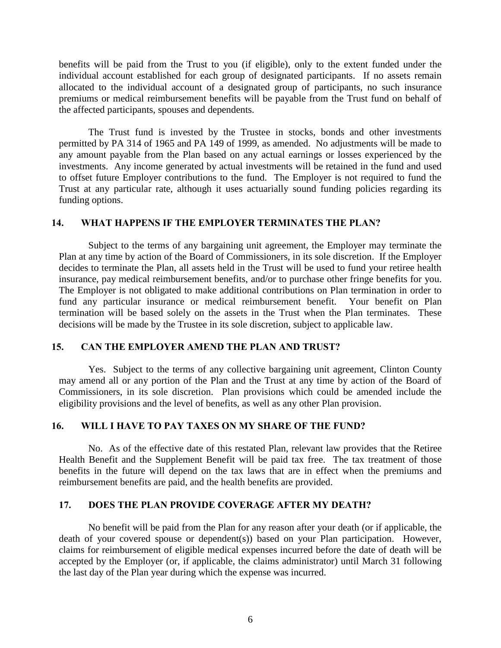benefits will be paid from the Trust to you (if eligible), only to the extent funded under the individual account established for each group of designated participants. If no assets remain allocated to the individual account of a designated group of participants, no such insurance premiums or medical reimbursement benefits will be payable from the Trust fund on behalf of the affected participants, spouses and dependents.

The Trust fund is invested by the Trustee in stocks, bonds and other investments permitted by PA 314 of 1965 and PA 149 of 1999, as amended. No adjustments will be made to any amount payable from the Plan based on any actual earnings or losses experienced by the investments. Any income generated by actual investments will be retained in the fund and used to offset future Employer contributions to the fund. The Employer is not required to fund the Trust at any particular rate, although it uses actuarially sound funding policies regarding its funding options.

### <span id="page-8-0"></span>**14. WHAT HAPPENS IF THE EMPLOYER TERMINATES THE PLAN?**

Subject to the terms of any bargaining unit agreement, the Employer may terminate the Plan at any time by action of the Board of Commissioners, in its sole discretion. If the Employer decides to terminate the Plan, all assets held in the Trust will be used to fund your retiree health insurance, pay medical reimbursement benefits, and/or to purchase other fringe benefits for you. The Employer is not obligated to make additional contributions on Plan termination in order to fund any particular insurance or medical reimbursement benefit. Your benefit on Plan termination will be based solely on the assets in the Trust when the Plan terminates. These decisions will be made by the Trustee in its sole discretion, subject to applicable law.

### <span id="page-8-1"></span>**15. CAN THE EMPLOYER AMEND THE PLAN AND TRUST?**

Yes. Subject to the terms of any collective bargaining unit agreement, Clinton County may amend all or any portion of the Plan and the Trust at any time by action of the Board of Commissioners, in its sole discretion. Plan provisions which could be amended include the eligibility provisions and the level of benefits, as well as any other Plan provision.

#### <span id="page-8-2"></span>**16. WILL I HAVE TO PAY TAXES ON MY SHARE OF THE FUND?**

No. As of the effective date of this restated Plan, relevant law provides that the Retiree Health Benefit and the Supplement Benefit will be paid tax free. The tax treatment of those benefits in the future will depend on the tax laws that are in effect when the premiums and reimbursement benefits are paid, and the health benefits are provided.

## <span id="page-8-3"></span>**17. DOES THE PLAN PROVIDE COVERAGE AFTER MY DEATH?**

No benefit will be paid from the Plan for any reason after your death (or if applicable, the death of your covered spouse or dependent(s)) based on your Plan participation. However, claims for reimbursement of eligible medical expenses incurred before the date of death will be accepted by the Employer (or, if applicable, the claims administrator) until March 31 following the last day of the Plan year during which the expense was incurred.